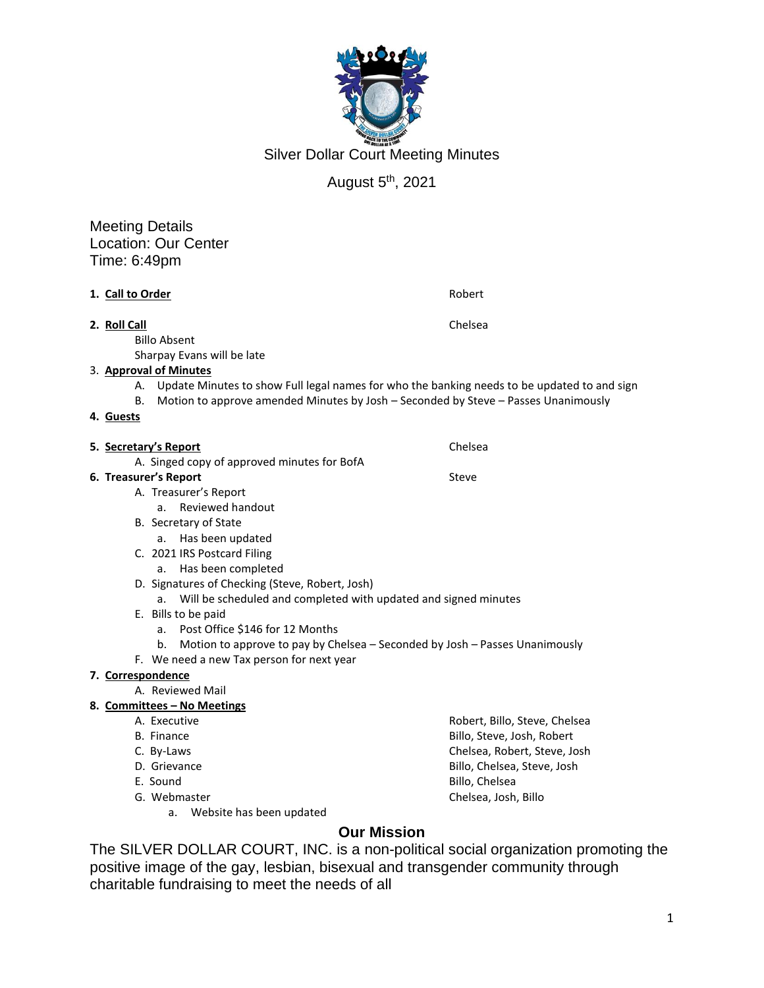

Silver Dollar Court Meeting Minutes

# August 5th, 2021

Meeting Details Location: Our Center Time: 6:49pm

|                                                                       | 1. Call to Order                                | Robert                                                                                      |  |
|-----------------------------------------------------------------------|-------------------------------------------------|---------------------------------------------------------------------------------------------|--|
|                                                                       | 2. Roll Call                                    | Chelsea                                                                                     |  |
| <b>Billo Absent</b>                                                   |                                                 |                                                                                             |  |
|                                                                       | Sharpay Evans will be late                      |                                                                                             |  |
| 3. Approval of Minutes                                                |                                                 |                                                                                             |  |
|                                                                       | А.                                              | Update Minutes to show Full legal names for who the banking needs to be updated to and sign |  |
|                                                                       | В.                                              | Motion to approve amended Minutes by Josh - Seconded by Steve - Passes Unanimously          |  |
|                                                                       | 4. Guests                                       |                                                                                             |  |
|                                                                       |                                                 |                                                                                             |  |
|                                                                       | 5. Secretary's Report                           | Chelsea                                                                                     |  |
| A. Singed copy of approved minutes for BofA                           |                                                 |                                                                                             |  |
| 6. Treasurer's Report<br>Steve                                        |                                                 |                                                                                             |  |
|                                                                       | A. Treasurer's Report                           |                                                                                             |  |
|                                                                       | Reviewed handout<br>a.                          |                                                                                             |  |
| B. Secretary of State                                                 |                                                 |                                                                                             |  |
|                                                                       | a. Has been updated                             |                                                                                             |  |
|                                                                       | C. 2021 IRS Postcard Filing                     |                                                                                             |  |
|                                                                       | Has been completed<br>a.                        |                                                                                             |  |
|                                                                       | D. Signatures of Checking (Steve, Robert, Josh) |                                                                                             |  |
| Will be scheduled and completed with updated and signed minutes<br>a. |                                                 |                                                                                             |  |
|                                                                       | E. Bills to be paid                             |                                                                                             |  |
|                                                                       | Post Office \$146 for 12 Months<br>a.           |                                                                                             |  |
|                                                                       | b.                                              | Motion to approve to pay by Chelsea - Seconded by Josh - Passes Unanimously                 |  |
|                                                                       | F. We need a new Tax person for next year       |                                                                                             |  |
|                                                                       | 7. Correspondence                               |                                                                                             |  |
|                                                                       | A. Reviewed Mail                                |                                                                                             |  |
|                                                                       | 8. Committees - No Meetings                     |                                                                                             |  |
|                                                                       | A. Executive                                    | Robert, Billo, Steve, Chelsea                                                               |  |
|                                                                       | <b>B.</b> Finance                               | Billo, Steve, Josh, Robert                                                                  |  |
| C. By-Laws<br>D. Grievance                                            |                                                 | Chelsea, Robert, Steve, Josh                                                                |  |
|                                                                       |                                                 | Billo, Chelsea, Steve, Josh                                                                 |  |
|                                                                       | E. Sound                                        | Billo, Chelsea                                                                              |  |
|                                                                       | G. Webmaster                                    | Chelsea, Josh, Billo                                                                        |  |
|                                                                       | Website has been updated<br>a.                  |                                                                                             |  |
|                                                                       |                                                 |                                                                                             |  |

### **Our Mission**

The SILVER DOLLAR COURT, INC. is a non-political social organization promoting the positive image of the gay, lesbian, bisexual and transgender community through charitable fundraising to meet the needs of all